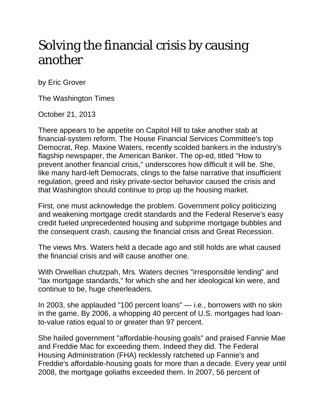## Solving the financial crisis by causing another

by Eric Grover

The Washington Times

October 21, 2013

There appears to be appetite on Capitol Hill to take another stab at financial-system reform. The House Financial Services Committee's top Democrat, Rep. Maxine Waters, recently scolded bankers in the industry's flagship newspaper, the American Banker. The op-ed, titled "How to prevent another financial crisis," underscores how difficult it will be. She, like many hard-left Democrats, clings to the false narrative that insufficient regulation, greed and risky private-sector behavior caused the crisis and that Washington should continue to prop up the housing market.

First, one must acknowledge the problem. Government policy politicizing and weakening mortgage credit standards and the Federal Reserve's easy credit fueled unprecedented housing and subprime mortgage bubbles and the consequent crash, causing the financial crisis and Great Recession.

The views Mrs. Waters held a decade ago and still holds are what caused the financial crisis and will cause another one.

With Orwellian chutzpah, Mrs. Waters decries "irresponsible lending" and "lax mortgage standards," for which she and her ideological kin were, and continue to be, huge cheerleaders.

In 2003, she applauded "100 percent loans" — i.e., borrowers with no skin in the game. By 2006, a whopping 40 percent of U.S. mortgages had loanto-value ratios equal to or greater than 97 percent.

She hailed government "affordable-housing goals" and praised Fannie Mae and Freddie Mac for exceeding them. Indeed they did. The Federal Housing Administration (FHA) recklessly ratcheted up Fannie's and Freddie's affordable-housing goals for more than a decade. Every year until 2008, the mortgage goliaths exceeded them. In 2007, 56 percent of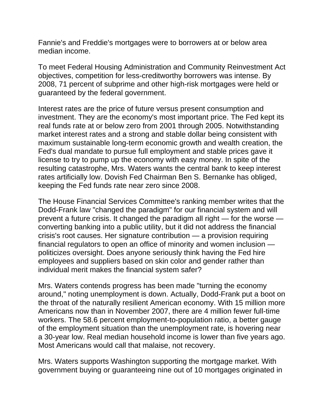Fannie's and Freddie's mortgages were to borrowers at or below area median income.

To meet Federal Housing Administration and Community Reinvestment Act objectives, competition for less-creditworthy borrowers was intense. By 2008, 71 percent of subprime and other high-risk mortgages were held or guaranteed by the federal government.

Interest rates are the price of future versus present consumption and investment. They are the economy's most important price. The Fed kept its real funds rate at or below zero from 2001 through 2005. Notwithstanding market interest rates and a strong and stable dollar being consistent with maximum sustainable long-term economic growth and wealth creation, the Fed's dual mandate to pursue full employment and stable prices gave it license to try to pump up the economy with easy money. In spite of the resulting catastrophe, Mrs. Waters wants the central bank to keep interest rates artificially low. Dovish Fed Chairman Ben S. Bernanke has obliged, keeping the Fed funds rate near zero since 2008.

The House Financial Services Committee's ranking member writes that the Dodd-Frank law "changed the paradigm" for our financial system and will prevent a future crisis. It changed the paradigm all right — for the worse converting banking into a public utility, but it did not address the financial crisis's root causes. Her signature contribution — a provision requiring financial regulators to open an office of minority and women inclusion politicizes oversight. Does anyone seriously think having the Fed hire employees and suppliers based on skin color and gender rather than individual merit makes the financial system safer?

Mrs. Waters contends progress has been made "turning the economy around," noting unemployment is down. Actually, Dodd-Frank put a boot on the throat of the naturally resilient American economy. With 15 million more Americans now than in November 2007, there are 4 million fewer full-time workers. The 58.6 percent employment-to-population ratio, a better gauge of the employment situation than the unemployment rate, is hovering near a 30-year low. Real median household income is lower than five years ago. Most Americans would call that malaise, not recovery.

Mrs. Waters supports Washington supporting the mortgage market. With government buying or guaranteeing nine out of 10 mortgages originated in